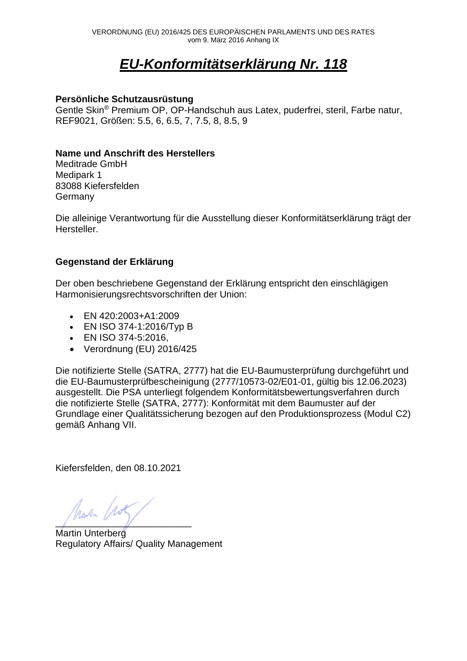# *EU-Konformitätserklärung Nr. 118*

### **Persönliche Schutzausrüstung**

Gentle Skin® Premium OP, OP-Handschuh aus Latex, puderfrei, steril, Farbe natur, REF9021, Größen: 5.5, 6, 6.5, 7, 7.5, 8, 8.5, 9

### **Name und Anschrift des Herstellers**

Meditrade GmbH Medipark 1 83088 Kiefersfelden **Germany** 

Die alleinige Verantwortung für die Ausstellung dieser Konformitätserklärung trägt der Hersteller.

## **Gegenstand der Erklärung**

Der oben beschriebene Gegenstand der Erklärung entspricht den einschlägigen Harmonisierungsrechtsvorschriften der Union:

- EN 420:2003+A1:2009
- EN ISO 374-1:2016/Typ B
- EN ISO 374-5:2016,
- Verordnung (EU) 2016/425

Die notifizierte Stelle (SATRA, 2777) hat die EU-Baumusterprüfung durchgeführt und die EU-Baumusterprüfbescheinigung (2777/10573-02/E01-01, gültig bis 12.06.2023) ausgestellt. Die PSA unterliegt folgendem Konformitätsbewertungsverfahren durch die notifizierte Stelle (SATRA, 2777): Konformität mit dem Baumuster auf der Grundlage einer Qualitätssicherung bezogen auf den Produktionsprozess (Modul C2) gemäß Anhang VII.

Kiefersfelden, den 08.10.2021

 $\text{hach}$  (155)

Martin Unterberg Regulatory Affairs/ Quality Management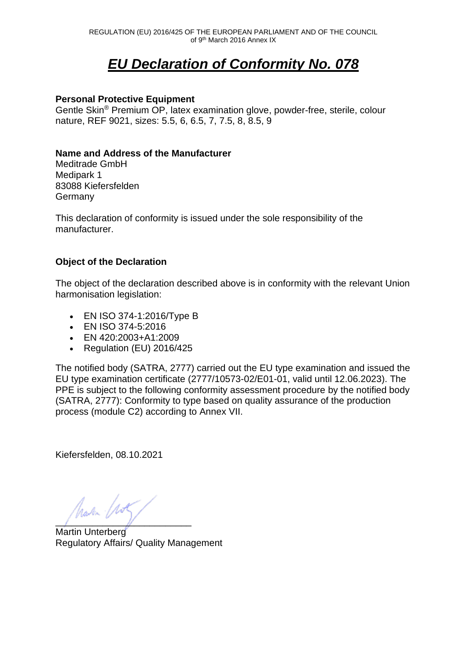# *EU Declaration of Conformity No. 078*

### **Personal Protective Equipment**

Gentle Skin® Premium OP, latex examination glove, powder-free, sterile, colour nature, REF 9021, sizes: 5.5, 6, 6.5, 7, 7.5, 8, 8.5, 9

### **Name and Address of the Manufacturer**

Meditrade GmbH Medipark 1 83088 Kiefersfelden **Germany** 

This declaration of conformity is issued under the sole responsibility of the manufacturer.

## **Object of the Declaration**

The object of the declaration described above is in conformity with the relevant Union harmonisation legislation:

- EN ISO 374-1:2016/Type B
- EN ISO 374-5:2016
- EN 420:2003+A1:2009
- Regulation (EU) 2016/425

The notified body (SATRA, 2777) carried out the EU type examination and issued the EU type examination certificate (2777/10573-02/E01-01, valid until 12.06.2023). The PPE is subject to the following conformity assessment procedure by the notified body (SATRA, 2777): Conformity to type based on quality assurance of the production process (module C2) according to Annex VII.

Kiefersfelden, 08.10.2021

hava (155)

Martin Unterberg Regulatory Affairs/ Quality Management